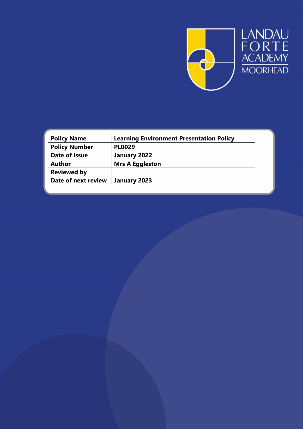

LANDAU<br>FORTE<br>ACADEMY<br>MOORHEAD

| <b>Learning Environment Presentation Policy</b> |
|-------------------------------------------------|
| <b>PL0029</b>                                   |
| January 2022                                    |
| <b>Mrs A Eggleston</b>                          |
|                                                 |
| January 2023                                    |
|                                                 |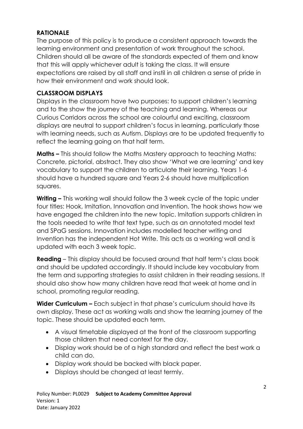## **RATIONALE**

The purpose of this policy is to produce a consistent approach towards the learning environment and presentation of work throughout the school. Children should all be aware of the standards expected of them and know that this will apply whichever adult is taking the class. It will ensure expectations are raised by all staff and instil in all children a sense of pride in how their environment and work should look.

# **CLASSROOM DISPLAYS**

Displays in the classroom have two purposes: to support children's learning and to the show the journey of the teaching and learning. Whereas our Curious Corridors across the school are colourful and exciting, classroom displays are neutral to support children's focus in learning, particularly those with learning needs, such as Autism. Displays are to be updated frequently to reflect the learning going on that half term.

**Maths –** This should follow the Maths Mastery approach to teaching Maths: Concrete, pictorial, abstract. They also show 'What we are learning' and key vocabulary to support the children to articulate their learning. Years 1-6 should have a hundred square and Years 2-6 should have multiplication squares.

**Writing –** This working wall should follow the 3 week cycle of the topic under four titles: Hook, Imitation, Innovation and Invention. The hook shows how we have engaged the children into the new topic. Imitation supports children in the tools needed to write that text type, such as an annotated model text and SPaG sessions. Innovation includes modelled teacher writing and Invention has the independent Hot Write. This acts as a working wall and is updated with each 3 week topic.

**Reading** – This display should be focused around that half term's class book and should be updated accordingly. It should include key vocabulary from the term and supporting strategies to assist children in their reading sessions. It should also show how many children have read that week at home and in school, promoting regular reading.

**Wider Curriculum –** Each subject in that phase's curriculum should have its own display. These act as working walls and show the learning journey of the topic. These should be updated each term.

- A visual timetable displayed at the front of the classroom supporting those children that need context for the day.
- Display work should be of a high standard and reflect the best work a child can do.
- Display work should be backed with black paper.
- Displays should be changed at least termly.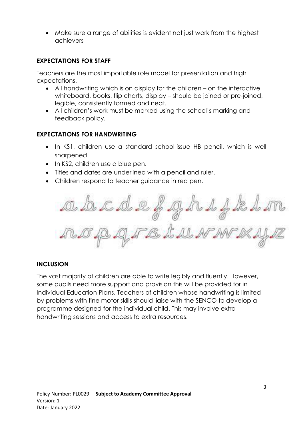Make sure a range of abilities is evident not just work from the highest achievers

# **EXPECTATIONS FOR STAFF**

Teachers are the most importable role model for presentation and high expectations.

- All handwriting which is on display for the children on the interactive whiteboard, books, flip charts, display – should be joined or pre-joined, legible, consistently formed and neat.
- All children's work must be marked using the school's marking and feedback policy.

#### **EXPECTATIONS FOR HANDWRITING**

- In KS1, children use a standard school-issue HB pencil, which is well sharpened.
- In KS2, children use a blue pen.
- Titles and dates are underlined with a pencil and ruler.
- Children respond to teacher guidance in red pen.

 $45 - 205 - 48$ IF B I W N N

#### **INCLUSION**

The vast majority of children are able to write legibly and fluently. However, some pupils need more support and provision this will be provided for in Individual Education Plans. Teachers of children whose handwriting is limited by problems with fine motor skills should liaise with the SENCO to develop a programme designed for the individual child. This may involve extra handwriting sessions and access to extra resources.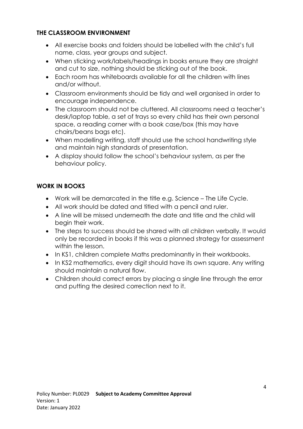### **THE CLASSROOM ENVIRONMENT**

- All exercise books and folders should be labelled with the child's full name, class, year groups and subject.
- When sticking work/labels/headings in books ensure they are straight and cut to size, nothing should be sticking out of the book.
- Each room has whiteboards available for all the children with lines and/or without.
- Classroom environments should be tidy and well organised in order to encourage independence.
- The classroom should not be cluttered. All classrooms need a teacher's desk/laptop table, a set of trays so every child has their own personal space, a reading corner with a book case/box (this may have chairs/beans bags etc).
- When modelling writing, staff should use the school handwriting style and maintain high standards of presentation.
- A display should follow the school's behaviour system, as per the behaviour policy.

### **WORK IN BOOKS**

- Work will be demarcated in the title e.g. Science The Life Cycle.
- All work should be dated and titled with a pencil and ruler.
- A line will be missed underneath the date and title and the child will begin their work.
- The steps to success should be shared with all children verbally. It would only be recorded in books if this was a planned strategy for assessment within the lesson.
- In KS1, children complete Maths predominantly in their workbooks.
- In KS2 mathematics, every digit should have its own square. Any writing should maintain a natural flow.
- Children should correct errors by placing a single line through the error and putting the desired correction next to it.